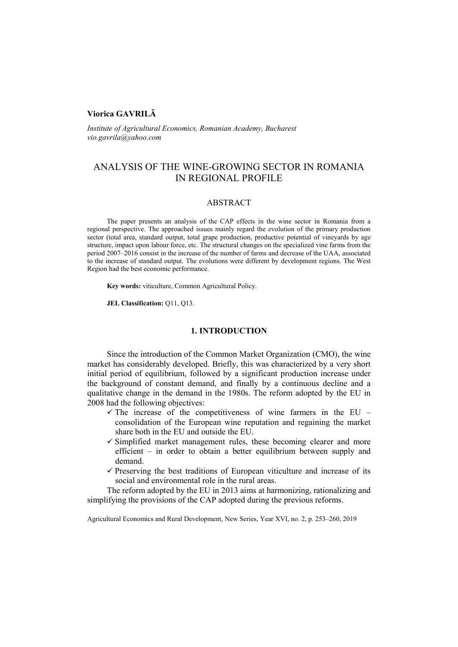## **Viorica GAVRILĂ**

*Institute of Agricultural Economics, Romanian Academy, Bucharest vio.gavrila@yahoo.com*

# ANALYSIS OF THE WINE-GROWING SECTOR IN ROMANIA IN REGIONAL PROFILE

## ABSTRACT

The paper presents an analysis of the CAP effects in the wine sector in Romania from a regional perspective. The approached issues mainly regard the evolution of the primary production sector (total area, standard output, total grape production, productive potential of vineyards by age structure, impact upon labour force, etc. The structural changes on the specialized vine farms from the period 2007–2016 consist in the increase of the number of farms and decrease of the UAA, associated to the increase of standard output. The evolutions were different by development regions. The West Region had the best economic performance.

**Key words:** viticulture, Common Agricultural Policy.

**JEL Classification:** Q11, Q13.

## **1. INTRODUCTION**

Since the introduction of the Common Market Organization (CMO), the wine market has considerably developed. Briefly, this was characterized by a very short initial period of equilibrium, followed by a significant production increase under the background of constant demand, and finally by a continuous decline and a qualitative change in the demand in the 1980s. The reform adopted by the EU in 2008 had the following objectives:

- $\checkmark$  The increase of the competitiveness of wine farmers in the EU consolidation of the European wine reputation and regaining the market share both in the EU and outside the EU.
- $\checkmark$  Simplified market management rules, these becoming clearer and more efficient – in order to obtain a better equilibrium between supply and demand.
- $\checkmark$  Preserving the best traditions of European viticulture and increase of its social and environmental role in the rural areas.

The reform adopted by the EU in 2013 aims at harmonizing, rationalizing and simplifying the provisions of the CAP adopted during the previous reforms.

Agricultural Economics and Rural Development, New Series, Year XVI, no. 2, p. 253–260, 2019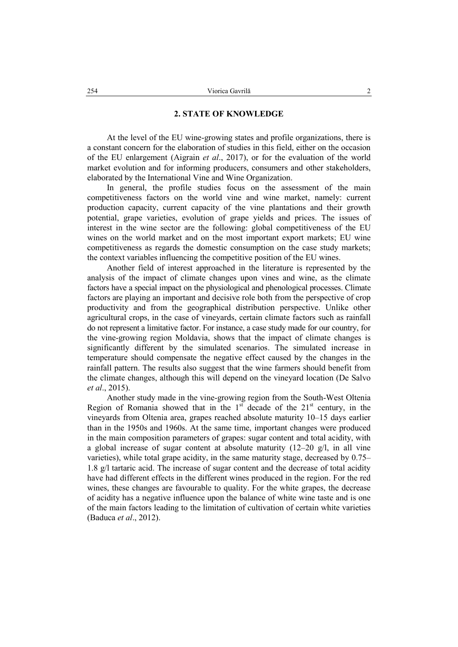## **2. STATE OF KNOWLEDGE**

At the level of the EU wine-growing states and profile organizations, there is a constant concern for the elaboration of studies in this field, either on the occasion of the EU enlargement (Aigrain *et al*., 2017), or for the evaluation of the world market evolution and for informing producers, consumers and other stakeholders, elaborated by the International Vine and Wine Organization.

In general, the profile studies focus on the assessment of the main competitiveness factors on the world vine and wine market, namely: current production capacity, current capacity of the vine plantations and their growth potential, grape varieties, evolution of grape yields and prices. The issues of interest in the wine sector are the following: global competitiveness of the EU wines on the world market and on the most important export markets; EU wine competitiveness as regards the domestic consumption on the case study markets; the context variables influencing the competitive position of the EU wines.

Another field of interest approached in the literature is represented by the analysis of the impact of climate changes upon vines and wine, as the climate factors have a special impact on the physiological and phenological processes. Climate factors are playing an important and decisive role both from the perspective of crop productivity and from the geographical distribution perspective. Unlike other agricultural crops, in the case of vineyards, certain climate factors such as rainfall do not represent a limitative factor. For instance, a case study made for our country, for the vine-growing region Moldavia, shows that the impact of climate changes is significantly different by the simulated scenarios. The simulated increase in temperature should compensate the negative effect caused by the changes in the rainfall pattern. The results also suggest that the wine farmers should benefit from the climate changes, although this will depend on the vineyard location (De Salvo *et al*., 2015).

Another study made in the vine-growing region from the South-West Oltenia Region of Romania showed that in the  $1<sup>st</sup>$  decade of the  $21<sup>st</sup>$  century, in the vineyards from Oltenia area, grapes reached absolute maturity 10–15 days earlier than in the 1950s and 1960s. At the same time, important changes were produced in the main composition parameters of grapes: sugar content and total acidity, with a global increase of sugar content at absolute maturity  $(12-20 \text{ g/l})$ , in all vine varieties), while total grape acidity, in the same maturity stage, decreased by 0.75– 1.8 g/l tartaric acid. The increase of sugar content and the decrease of total acidity have had different effects in the different wines produced in the region. For the red wines, these changes are favourable to quality. For the white grapes, the decrease of acidity has a negative influence upon the balance of white wine taste and is one of the main factors leading to the limitation of cultivation of certain white varieties (Baduca *et al*., 2012).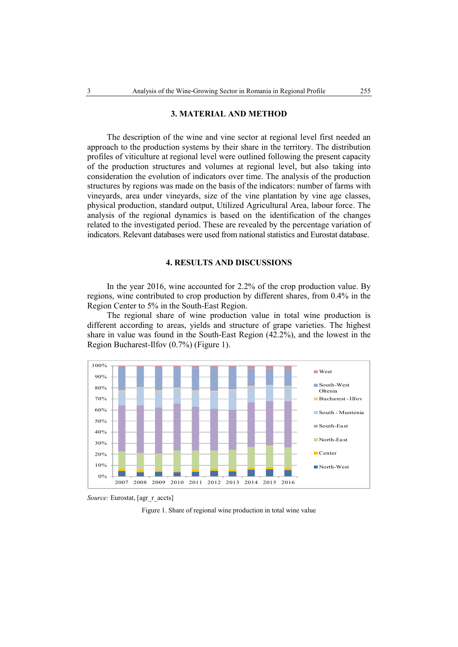## **3. MATERIAL AND METHOD**

The description of the wine and vine sector at regional level first needed an approach to the production systems by their share in the territory. The distribution profiles of viticulture at regional level were outlined following the present capacity of the production structures and volumes at regional level, but also taking into consideration the evolution of indicators over time. The analysis of the production structures by regions was made on the basis of the indicators: number of farms with vineyards, area under vineyards, size of the vine plantation by vine age classes, physical production, standard output, Utilized Agricultural Area, labour force. The analysis of the regional dynamics is based on the identification of the changes related to the investigated period. These are revealed by the percentage variation of indicators. Relevant databases were used from national statistics and Eurostat database.

### **4. RESULTS AND DISCUSSIONS**

In the year 2016, wine accounted for 2.2% of the crop production value. By regions, wine contributed to crop production by different shares, from 0.4% in the Region Center to 5% in the South-East Region.

The regional share of wine production value in total wine production is different according to areas, yields and structure of grape varieties. The highest share in value was found in the South-East Region (42.2%), and the lowest in the Region Bucharest-Ilfov (0.7%) (Figure 1).



*Source:* Eurostat, [agr\_r\_accts]

Figure 1. Share of regional wine production in total wine value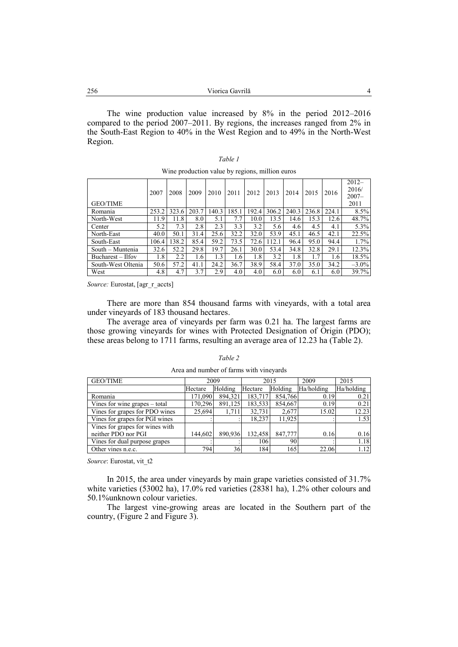| 256<br>Viorica Gavrilă |  |
|------------------------|--|
|                        |  |

The wine production value increased by 8% in the period 2012–2016 compared to the period 2007–2011. By regions, the increases ranged from 2% in the South-East Region to 40% in the West Region and to 49% in the North-West Region.

*Table 1*

| Wine production value by regions, million euros |       |       |       |      |       |       |       |       |       |       |                                       |
|-------------------------------------------------|-------|-------|-------|------|-------|-------|-------|-------|-------|-------|---------------------------------------|
| <b>GEO/TIME</b>                                 | 2007  | 2008  | 2009  | 2010 | 2011  | 2012  | 2013  | 2014  | 2015  | 2016  | $2012 -$<br>2016/<br>$2007 -$<br>2011 |
| Romania                                         | 253.2 | 323.6 | 203.7 | 40.3 | 185.1 | 192.4 | 306.2 | 240.3 | 236.8 | 224.1 | 8.5%                                  |
| North-West                                      | 11.9  | 11.8  | 8.0   | 5.1  | 7.7   | 10.0  | 13.5  | 14.6  | 15.3  | 12.6  | 48.7%                                 |
| Center                                          | 5.2   | 7.3   | 2.8   | 2.3  | 3.3   | 3.2   | 5.6   | 4.6   | 4.5   | 4.1   | 5.3%                                  |
| North-East                                      | 40.0  | 50.1  | 31.4  | 25.6 | 32.2  | 32.0  | 53.9  | 45.1  | 46.5  | 42.1  | 22.5%                                 |
| South-East                                      | 106.4 | 138.2 | 85.4  | 59.2 | 73.5  | 72.6  | 112.1 | 96.4  | 95.0  | 94.4  | $1.7\%$                               |
| South – Muntenia                                | 32.6  | 52.2  | 29.8  | 19.7 | 26.1  | 30.0  | 53.4  | 34.8  | 32.8  | 29.1  | 12.3%                                 |
| Bucharest – Ilfov                               | 1.8   | 2.2   | 1.6   | 1.3  | 1.6   | 1.8   | 3.2   | 1.8   | 1.7   | 1.6   | 18.5%                                 |
| South-West Oltenia                              | 50.6  | 57.2  | 41.1  | 24.2 | 36.7  | 38.9  | 58.4  | 37.0  | 35.0  | 34.2  | $-3.0\%$                              |
| West                                            | 4.8   | 4.7   | 3.7   | 2.9  | 4.0   | 4.0   | 6.0   | 6.0   | 6.1   | 6.0   | 39.7%                                 |

*Source:* Eurostat, [agr\_r\_accts]

There are more than 854 thousand farms with vineyards, with a total area under vineyards of 183 thousand hectares.

The average area of vineyards per farm was 0.21 ha. The largest farms are those growing vineyards for wines with Protected Designation of Origin (PDO); these areas belong to 1711 farms, resulting an average area of 12.23 ha (Table 2).

| <b>GEO/TIME</b>                 | 2009    |         |         | 2015    | 2009       | 2015       |
|---------------------------------|---------|---------|---------|---------|------------|------------|
|                                 | Hectare | Holding | Hectare | Holding | Ha/holding | Ha/holding |
| Romania                         | 171,090 | 894.321 | 183,717 | 854,766 | 0.19       | 0.21       |
| Vines for wine grapes – total   | 170,296 | 891,125 | 183,533 | 854.667 | 0.19       | 0.21       |
| Vines for grapes for PDO wines  | 25,694  | 1,711   | 32,731  | 2,677   | 15.02      | 12.23      |
| Vines for grapes for PGI wines  |         |         | 18.237  | 11.925  |            | 1.53       |
| Vines for grapes for wines with |         |         |         |         |            |            |
| neither PDO nor PGI             | 144,602 | 890.936 | 132.458 | 847,777 | 0.16       | 0.16       |
| Vines for dual purpose grapes   |         |         | 106     | 90      |            | 1.18       |
| Other vines n.e.c.              | 794     | 36      | 184     | 165     | 22.06      | 1.12       |

## *Table 2* Area and number of farms with vineyards

*Source*: Eurostat, vit\_t2

In 2015, the area under vineyards by main grape varieties consisted of 31.7% white varieties (53002 ha), 17.0% red varieties (28381 ha), 1.2% other colours and 50.1%unknown colour varieties.

The largest vine-growing areas are located in the Southern part of the country, (Figure 2 and Figure 3).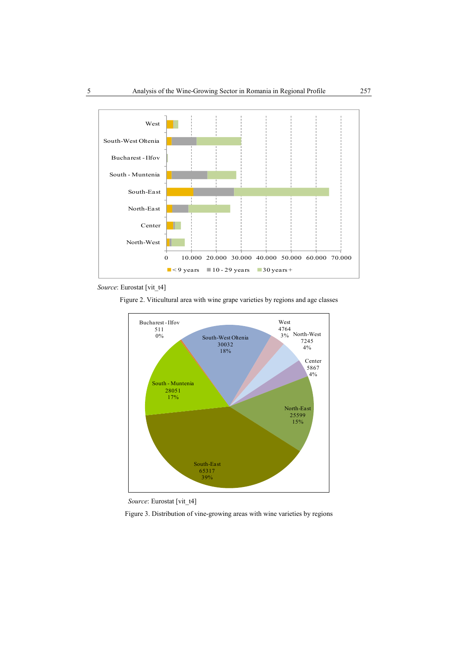

*Source*: Eurostat [vit\_t4]

Figure 2. Viticultural area with wine grape varieties by regions and age classes



*Source*: Eurostat [vit\_t4]

Figure 3. Distribution of vine-growing areas with wine varieties by regions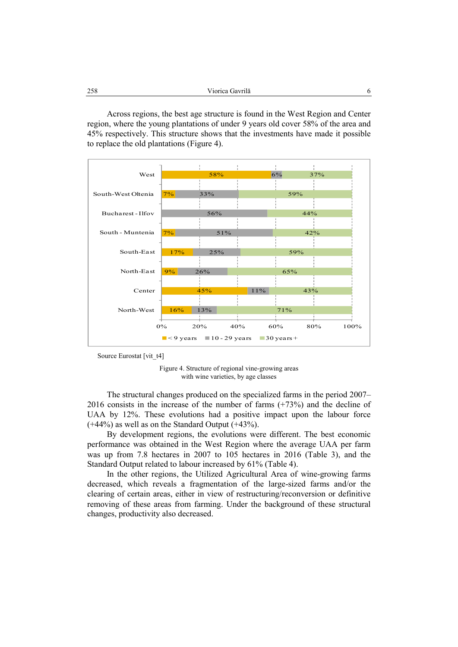| 258 | $\cdot$ 1 $\sim$<br>Viorica Gavrilă |  |
|-----|-------------------------------------|--|
|     |                                     |  |

Across regions, the best age structure is found in the West Region and Center region, where the young plantations of under 9 years old cover 58% of the area and 45% respectively. This structure shows that the investments have made it possible to replace the old plantations (Figure 4).



Source Eurostat [vit\_t4]

Figure 4. Structure of regional vine-growing areas with wine varieties, by age classes

The structural changes produced on the specialized farms in the period 2007– 2016 consists in the increase of the number of farms (+73%) and the decline of UAA by 12%. These evolutions had a positive impact upon the labour force (+44%) as well as on the Standard Output (+43%).

By development regions, the evolutions were different. The best economic performance was obtained in the West Region where the average UAA per farm was up from 7.8 hectares in 2007 to 105 hectares in 2016 (Table 3), and the Standard Output related to labour increased by 61% (Table 4).

In the other regions, the Utilized Agricultural Area of wine-growing farms decreased, which reveals a fragmentation of the large-sized farms and/or the clearing of certain areas, either in view of restructuring/reconversion or definitive removing of these areas from farming. Under the background of these structural changes, productivity also decreased.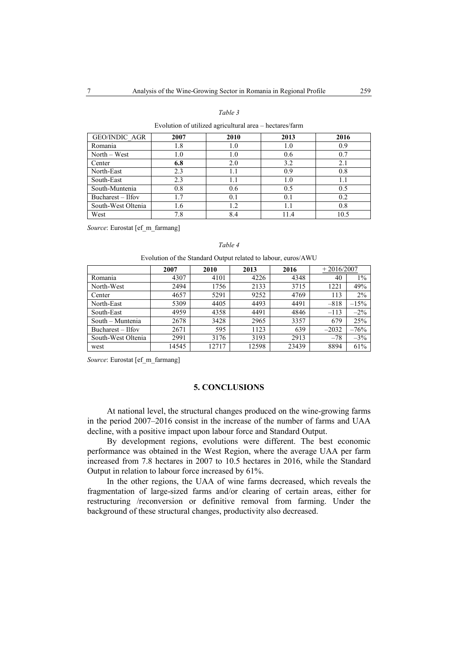### *Table 3*

#### Evolution of utilized agricultural area – hectares/farm

| <b>GEO/INDIC AGR</b> | 2007 | 2010 | 2013 | 2016 |
|----------------------|------|------|------|------|
| Romania              | 1.8  | 1.0  | 1.0  | 0.9  |
| North – West         | 1.0  | 1.0  | 0.6  | 0.7  |
| Center               | 6.8  | 2.0  | 3.2  | 2.1  |
| North-East           | 2.3  | 1.1  | 0.9  | 0.8  |
| South-East           | 2.3  | 1.1  | 1.0  | 1.1  |
| South-Muntenia       | 0.8  | 0.6  | 0.5  | 0.5  |
| Bucharest – Ilfov    | 1.7  | 0.1  | 0.1  | 0.2  |
| South-West Oltenia   | 1.6  | 1.2  | 1.1  | 0.8  |
| West                 | 7.8  | 8.4  | 11.4 | 10.5 |

*Source*: Eurostat [ef\_m\_farmang]

### *Table 4*

### Evolution of the Standard Output related to labour, euros/AWU

|                    | 2007  | 2010  | 2013  | 2016  | $+2016/2007$ |        |
|--------------------|-------|-------|-------|-------|--------------|--------|
| Romania            | 4307  | 4101  | 4226  | 4348  | 40           | $1\%$  |
| North-West         | 2494  | 1756  | 2133  | 3715  | 1221         | 49%    |
| Center             | 4657  | 5291  | 9252  | 4769  | 113          | $2\%$  |
| North-East         | 5309  | 4405  | 4493  | 4491  | $-818$       | $-15%$ |
| South-East         | 4959  | 4358  | 4491  | 4846  | $-113$       | $-2\%$ |
| South – Muntenia   | 2678  | 3428  | 2965  | 3357  | 679          | 25%    |
| Bucharest – Ilfov  | 2671  | 595   | 1123  | 639   | $-2032$      | $-76%$ |
| South-West Oltenia | 2991  | 3176  | 3193  | 2913  | $-78$        | $-3%$  |
| west               | 14545 | 12717 | 12598 | 23439 | 8894         | 61%    |

*Source*: Eurostat [ef\_m\_farmang]

### **5. CONCLUSIONS**

At national level, the structural changes produced on the wine-growing farms in the period 2007–2016 consist in the increase of the number of farms and UAA decline, with a positive impact upon labour force and Standard Output.

By development regions, evolutions were different. The best economic performance was obtained in the West Region, where the average UAA per farm increased from 7.8 hectares in 2007 to 10.5 hectares in 2016, while the Standard Output in relation to labour force increased by 61%.

In the other regions, the UAA of wine farms decreased, which reveals the fragmentation of large-sized farms and/or clearing of certain areas, either for restructuring /reconversion or definitive removal from farming. Under the background of these structural changes, productivity also decreased.